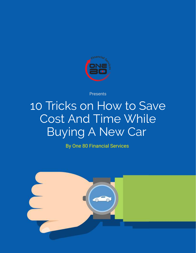

Presents

## 10 Tricks on How to Save Cost And Time While Buying A New Car

By One 80 Financial Services

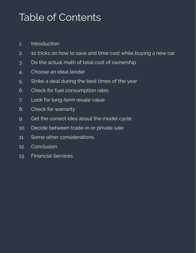### Table of Contents

- 1. [Introduction](#page-2-0)
- 2. 10 tricks on how to save and time cost while [buying](#page-3-0) a new car
- 3. Do the actual math of total cost of [ownership](#page-4-0)
- 4. [Choose](#page-7-0) an ideal lender
- 5. Strike a deal [during](#page-8-0) the best times of the year
- 6. Check for fuel [consumption](#page-9-0) rates
- 7. Look for [long-term](#page-10-0) resale value
- 8. Check for [warranty](#page-11-0)
- 9. Get the [correct](#page-12-0) idea about the model cycle
- 10. Decide [between](#page-13-0) trade-in or private sale
- 11. Some other [considerations](#page-14-0)
- 12. **[Conclusion](#page-15-0)**
- 13. [Financial](#page-16-0) Services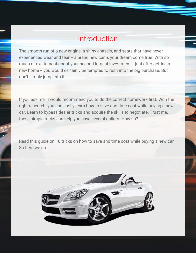#### Introduction

<span id="page-2-0"></span>The smooth run of a new engine, a shiny chassis, and seats that have never experienced wear and tear -- a brand new car is your dream come true. With so much of excitement about your second-largest investment -- just after getting a new home -- you would certainly be tempted to rush into the big purchase. But don't simply jump into it.

If you ask me, I would recommend you to do the correct homework first. With the right research, you can easily learn how to save and time cost while buying a new car. Learn to bypass dealer tricks and acquire the skills to negotiate. Trust me, these simple tricks can help you save several dollars. How so?

Read this guide on 10 tricks on how to save and time cost while buying a new car. So here we go.

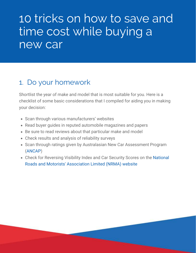## <span id="page-3-0"></span>10 tricks on how to save and time cost while buying a new car

#### 1. Do your homework

Shortlist the year of make and model that is most suitable for you. Here is a checklist of some basic considerations that I compiled for aiding you in making your decision:

- Scan through various manufacturers' websites
- Read buyer guides in reputed automobile magazines and papers
- Be sure to read reviews about that particular make and model
- Check results and analysis of reliability surveys
- Scan through ratings given by Australasian New Car Assessment Program ([ANCAP\)](http://www.ancap.com.au/home)
- [Check for Reversing Visibility Index and Car Security Scores on the National](https://www.nrma.com.au/) Roads and Motorists' Association Limited (NRMA) website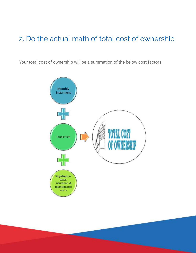#### <span id="page-4-0"></span>2. Do the actual math of total cost of ownership

Your total cost of ownership will be a summation of the below cost factors:

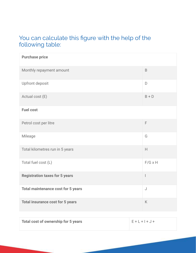#### You can calculate this figure with the help of the following table:

| <b>Purchase price</b>                     |                          |
|-------------------------------------------|--------------------------|
| Monthly repayment amount                  | $\mathsf B$              |
| <b>Upfront deposit</b>                    | D                        |
| Actual cost (E)                           | $B + D$                  |
| <b>Fuel cost</b>                          |                          |
| Petrol cost per litre                     | F                        |
| Mileage                                   | G                        |
| Total kilometres run in 5 years           | H                        |
| Total fuel cost (L)                       | $F/G \times H$           |
| <b>Registration taxes for 5 years</b>     | $\overline{\phantom{a}}$ |
| <b>Total maintenance cost for 5 years</b> | $\bigcup$                |
| <b>Total insurance cost for 5 years</b>   | K                        |
|                                           |                          |

| <b>Total cost of ownership for 5 years</b> | $E + L + I + J +$ |
|--------------------------------------------|-------------------|
|                                            |                   |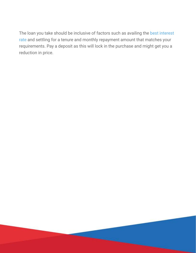[The loan you take should be inclusive of factors such as availing the best interest](http://info.180financial.com.au/10-tips-to-avail-the-best-rates-on-your-car-or-equipment-loan?hsCtaTracking=a014de0d-f36b-4d5d-b3f8-32141a98b7d2%7Ce648c9cf-7fa2-4357-ba98-e577b2bd5022) rate and settling for a tenure and monthly repayment amount that matches your requirements. Pay a deposit as this will lock in the purchase and might get you a reduction in price.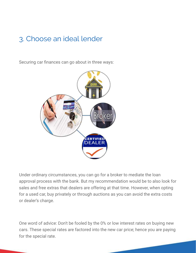### <span id="page-7-0"></span>3. Choose an ideal lender

Securing car finances can go about in three ways:



Under ordinary circumstances, you can go for a broker to mediate the loan approval process with the bank. But my recommendation would be to also look for sales and free extras that dealers are offering at that time. However, when opting for a used car, buy privately or through auctions as you can avoid the extra costs or dealer's charge.

One word of advice: Don't be fooled by the 0% or low interest rates on buying new cars. These special rates are factored into the new car price; hence you are paying for the special rate.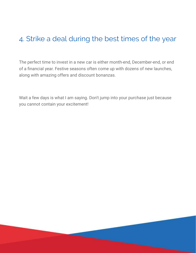#### <span id="page-8-0"></span>4. Strike a deal during the best times of the year

The perfect time to invest in a new car is either month-end, December-end, or end of a financial year. Festive seasons often come up with dozens of new launches, along with amazing offers and discount bonanzas.

Wait a few days is what I am saying. Don't jump into your purchase just because you cannot contain your excitement!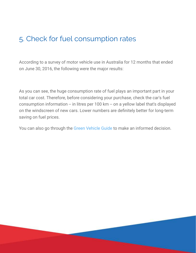#### <span id="page-9-0"></span>5. Check for fuel consumption rates

According to a survey of motor vehicle use in Australia for 12 months that ended on June 30, 2016, the following were the major results:

As you can see, the huge consumption rate of fuel plays an important part in your total car cost. Therefore, before considering your purchase, check the car's fuel consumption information -- in litres per 100 km -- on a yellow label that's displayed on the windscreen of new cars. Lower numbers are definitely better for long-term saving on fuel prices.

You can also go through the [Green Vehicle Guide](http://www.greenvehicleguide.gov.au/) to make an informed decision.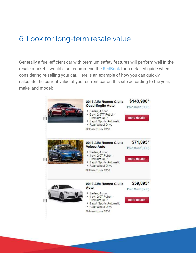#### <span id="page-10-0"></span>6. Look for long-term resale value

Generally a fuel-efficient car with premium safety features will perform well in the resale market. I would also recommend the [RedBook](http://www.redbook.com.au/) for a detailed guide when considering re-selling your car. Here is an example of how you can quickly calculate the current value of your current car on this site according to the year, make, and model:

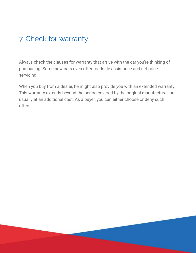### <span id="page-11-0"></span>7. Check for warranty

Always check the clauses for warranty that arrive with the car you're thinking of purchasing. Some new cars even offer roadside assistance and set-price servicing.

When you buy from a dealer, he might also provide you with an extended warranty. This warranty extends beyond the period covered by the original manufacturer, but usually at an additional cost. As a buyer, you can either choose or deny such offers.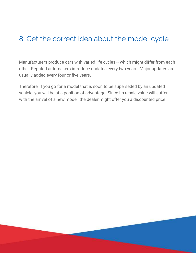### <span id="page-12-0"></span>8. Get the correct idea about the model cycle

Manufacturers produce cars with varied life cycles -- which might differ from each other. Reputed automakers introduce updates every two years. Major updates are usually added every four or five years.

Therefore, if you go for a model that is soon to be superseded by an updated vehicle, you will be at a position of advantage. Since its resale value will suffer with the arrival of a new model, the dealer might offer you a discounted price.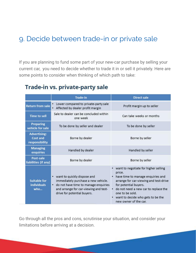#### <span id="page-13-0"></span>9. Decide between trade-in or private sale

If you are planning to fund some part of your new-car purchase by selling your current car, you need to decide whether to trade it in or sell it privately. Here are some points to consider when thinking of which path to take:

#### Trade-in vs. private-party sale

|                                                          | <b>Trade-in</b>                                                                                                                                                                           | <b>Direct sale</b>                                                                                                                                                                                                                                                                |
|----------------------------------------------------------|-------------------------------------------------------------------------------------------------------------------------------------------------------------------------------------------|-----------------------------------------------------------------------------------------------------------------------------------------------------------------------------------------------------------------------------------------------------------------------------------|
| <b>Return from sale</b>                                  | Lower compared to private-party sale<br>٠<br>• Affected by dealer profit margin                                                                                                           | Profit margin up to seller                                                                                                                                                                                                                                                        |
| <b>Time to sell</b>                                      | Sale to dealer can be concluded within<br>one week                                                                                                                                        | Can take weeks or months                                                                                                                                                                                                                                                          |
| <b>Preparing</b><br>vehicle for sale                     | To be done by seller and dealer                                                                                                                                                           | To be done by seller                                                                                                                                                                                                                                                              |
| <b>Advertising:</b><br><b>Cost and</b><br>responsibility | Borne by dealer                                                                                                                                                                           | Borne by seller                                                                                                                                                                                                                                                                   |
| <b>Managing</b><br>enquiries                             | Handled by dealer                                                                                                                                                                         | Handled by seller                                                                                                                                                                                                                                                                 |
| Post-sale<br>liabilities (if any)                        | Borne by dealer                                                                                                                                                                           | Borne by seller                                                                                                                                                                                                                                                                   |
| <b>Suitable for</b><br><b>individuals</b><br>who         | want to quickly dispose and<br>٠<br>immediately purchase a new vehicle.<br>• do not have time to manage enquiries<br>and arrange for car-viewing and test-<br>drive for potential buyers. | want to negotiate for higher selling<br>price.<br>• have time to manage enquiries and<br>arrange for car-viewing and test-drive<br>for potential buyers.<br>do not need a new car to replace the<br>one to be sold.<br>want to decide who gets to be the<br>new owner of the car. |

Go through all the pros and cons, scrutinise your situation, and consider your limitations before arriving at a decision.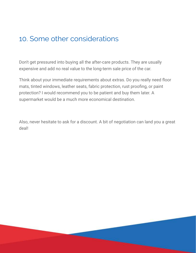#### <span id="page-14-0"></span>10. Some other considerations

Don't get pressured into buying all the after-care products. They are usually expensive and add no real value to the long-term sale price of the car.

Think about your immediate requirements about extras. Do you really need floor mats, tinted windows, leather seats, fabric protection, rust proofing, or paint protection? I would recommend you to be patient and buy them later. A supermarket would be a much more economical destination.

Also, never hesitate to ask for a discount. A bit of negotiation can land you a great deal!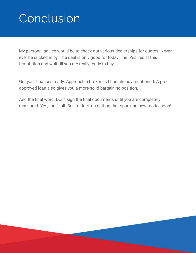# <span id="page-15-0"></span>Conclusion

My personal advice would be to check out various dealerships for quotes. Never ever be sucked in by 'The deal is only good for today' line. Yes, resist this temptation and wait till you are really ready to buy.

Get your finances ready. Approach a broker as I had already mentioned. A preapproved loan also gives you a more solid bargaining position.

And the final word. Don't sign the final documents until you are completely reassured. Yes, that's all. Best of luck on getting that spanking new model soon!